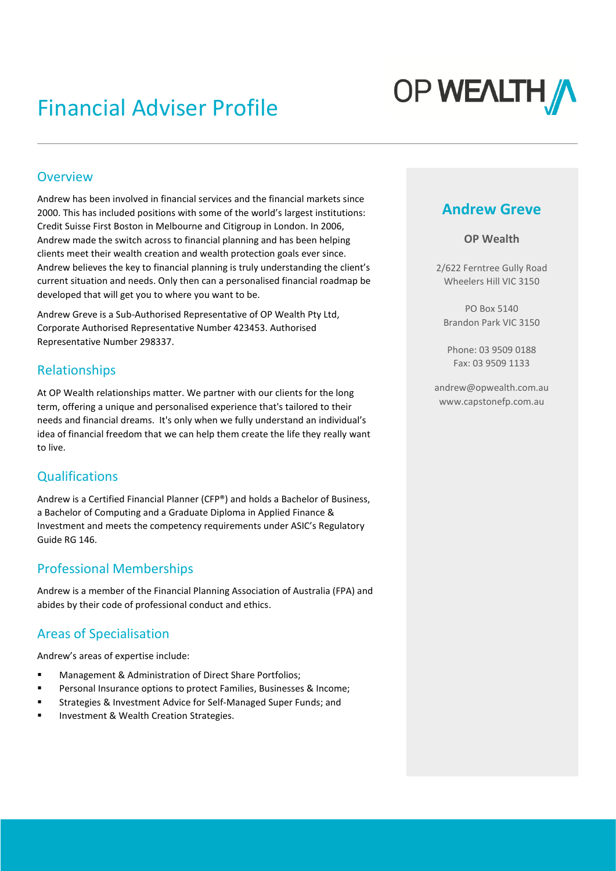# Financial Adviser Profile



### **Overview**

Andrew has been involved in financial services and the financial markets since 2000. This has included positions with some of the world's largest institutions: Credit Suisse First Boston in Melbourne and Citigroup in London. In 2006, Andrew made the switch across to financial planning and has been helping clients meet their wealth creation and wealth protection goals ever since. Andrew believes the key to financial planning is truly understanding the client's current situation and needs. Only then can a personalised financial roadmap be developed that will get you to where you want to be.

Andrew Greve is a Sub-Authorised Representative of OP Wealth Pty Ltd, Corporate Authorised Representative Number 423453. Authorised Representative Number 298337.

### Relationships

At OP Wealth relationships matter. We partner with our clients for the long term, offering a unique and personalised experience that's tailored to their needs and financial dreams. It's only when we fully understand an individual's idea of financial freedom that we can help them create the life they really want to live.

## **Qualifications**

Andrew is a Certified Financial Planner (CFP®) and holds a Bachelor of Business, a Bachelor of Computing and a Graduate Diploma in Applied Finance & Investment and meets the competency requirements under ASIC's Regulatory Guide RG 146.

## Professional Memberships

Andrew is a member of the Financial Planning Association of Australia (FPA) and abides by their code of professional conduct and ethics.

## Areas of Specialisation

Andrew's areas of expertise include:

- Management & Administration of Direct Share Portfolios;
- Personal Insurance options to protect Families, Businesses & Income;
- Strategies & Investment Advice for Self-Managed Super Funds; and
- Investment & Wealth Creation Strategies.

## **Andrew Greve**

#### **OP Wealth**

2/622 Ferntree Gully Road Wheelers Hill VIC 3150

PO Box 5140 Brandon Park VIC 3150

Phone: 03 9509 0188 Fax: 03 9509 1133

andrew@opwealth.com.au www.capstonefp.com.au